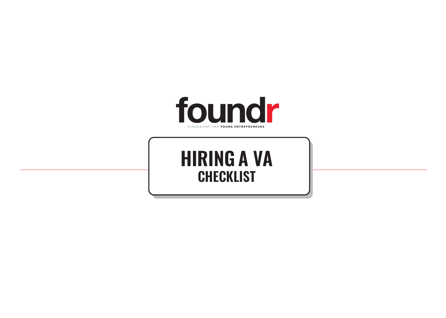

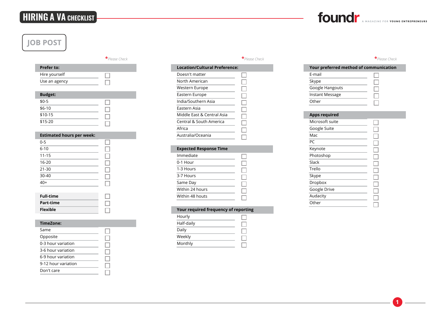## **HIRING A VA CHECKLIST**

## **JOB POST**

|                   | $\star$ Please Check |
|-------------------|----------------------|
| <b>Prefer to:</b> |                      |
| Hire yourself     |                      |
| Use an agency     |                      |
|                   |                      |
| <b>Budget:</b>    |                      |
| $$0-5$            |                      |
| $$6-10$           |                      |
| \$10-15           |                      |
| \$15-20           |                      |

### **Estimated hours per week:**

| $0 - 5$         |  |
|-----------------|--|
| $6 - 10$        |  |
| $11 - 15$       |  |
| $16 - 20$       |  |
| $21 - 30$       |  |
| 30-40           |  |
| $\frac{1}{40+}$ |  |
|                 |  |

| <b>Full-time</b> |  |
|------------------|--|
| Part-time        |  |
| <b>Flexible</b>  |  |

#### **TimeZone:**

| Same                |  |
|---------------------|--|
| Opposite            |  |
| 0-3 hour variation  |  |
| 3-6 hour variation  |  |
| 6-9 hour variation  |  |
| 9-12 hour variation |  |
| Don't care          |  |
|                     |  |

П

 $\Box$ 

 $\Box$ 

 $\Box$ 

| * Please Check | *Please Check | * Please Check |
|----------------|---------------|----------------|
|                |               |                |

| Location/Cultural Preference: |  |
|-------------------------------|--|
| Doesn't matter                |  |
| North American                |  |
| Western Europe                |  |
| Eastern Europe                |  |
| India/Southern Asia           |  |
| Fastern Asia                  |  |
| Middle Fast & Central Asia    |  |
| Central & South America       |  |
| Africa                        |  |
| Australia/Oceania             |  |
|                               |  |

## **Expected Response Time**

| Immediate       |  |
|-----------------|--|
| 0-1 Hour        |  |
| 1-3 Hours       |  |
| 3-7 Hours       |  |
| Same Day        |  |
| Within 24 hours |  |
| Within 48 houts |  |
|                 |  |

### **Your required frequency of reporting**

| Hourly     |  |
|------------|--|
| Half-daily |  |
| Daily      |  |
| Weekly     |  |
| Monthly    |  |

| Your preferred method of communication |  |  |  |  |
|----------------------------------------|--|--|--|--|
| F-mail                                 |  |  |  |  |
| Skype                                  |  |  |  |  |
| Google Hangouts                        |  |  |  |  |
| <b>Instant Message</b>                 |  |  |  |  |
| Other                                  |  |  |  |  |

#### **Apps required** Microsoft suite  $\Box$ Google Suite  $\Box$ **Mac**  $\Box$ PC  $\Box$ Keynote П Photoshop  $\Box$ **Slack**  $\Box$ **Trello**  $\Box$ **Skype**  $\Box$ Dropbox  $\Box$ Google Drive  $\Box$ Audacity  $\Box$ **Other** П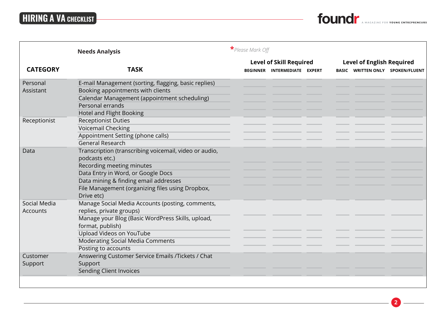# **HIRING A VA CHECKLIST**



|                 | <b>Needs Analysis</b>                                  | * Please Mark Off              |                              |  |                                  |  |                                   |
|-----------------|--------------------------------------------------------|--------------------------------|------------------------------|--|----------------------------------|--|-----------------------------------|
|                 |                                                        | <b>Level of Skill Required</b> |                              |  | <b>Level of English Required</b> |  |                                   |
| <b>CATEGORY</b> | <b>TASK</b>                                            |                                | BEGINNER INTERMEDIATE EXPERT |  | BASIC                            |  | <b>WRITTEN ONLY SPOKEN/FLUENT</b> |
| Personal        | E-mail Management (sorting, flagging, basic replies)   |                                |                              |  |                                  |  |                                   |
| Assistant       | Booking appointments with clients                      |                                |                              |  |                                  |  |                                   |
|                 | Calendar Management (appointment scheduling)           |                                |                              |  |                                  |  |                                   |
|                 | Personal errands                                       |                                |                              |  |                                  |  |                                   |
|                 | <b>Hotel and Flight Booking</b>                        |                                |                              |  |                                  |  |                                   |
| Receptionist    | <b>Receptionist Duties</b>                             |                                |                              |  |                                  |  |                                   |
|                 | Voicemail Checking                                     |                                |                              |  |                                  |  |                                   |
|                 | Appointment Setting (phone calls)                      |                                |                              |  |                                  |  |                                   |
|                 | <b>General Research</b>                                |                                |                              |  |                                  |  |                                   |
| Data            | Transcription (transcribing voicemail, video or audio, |                                |                              |  |                                  |  |                                   |
|                 | podcasts etc.)                                         |                                |                              |  |                                  |  |                                   |
|                 | Recording meeting minutes                              |                                |                              |  |                                  |  |                                   |
|                 | Data Entry in Word, or Google Docs                     |                                |                              |  |                                  |  |                                   |
|                 | Data mining & finding email addresses                  |                                |                              |  |                                  |  |                                   |
|                 | File Management (organizing files using Dropbox,       |                                |                              |  |                                  |  |                                   |
|                 | Drive etc)                                             |                                |                              |  |                                  |  |                                   |
| Social Media    | Manage Social Media Accounts (posting, comments,       |                                |                              |  |                                  |  |                                   |
| Accounts        | replies, private groups)                               |                                |                              |  |                                  |  |                                   |
|                 | Manage your Blog (Basic WordPress Skills, upload,      |                                |                              |  |                                  |  |                                   |
|                 | format, publish)                                       |                                |                              |  |                                  |  |                                   |
|                 | Upload Videos on YouTube                               |                                |                              |  |                                  |  |                                   |
|                 | <b>Moderating Social Media Comments</b>                |                                |                              |  |                                  |  |                                   |
|                 | Posting to accounts                                    |                                |                              |  |                                  |  |                                   |
| Customer        | Answering Customer Service Emails /Tickets / Chat      |                                |                              |  |                                  |  |                                   |
| Support         | Support                                                |                                |                              |  |                                  |  |                                   |
|                 | <b>Sending Client Invoices</b>                         |                                |                              |  |                                  |  |                                   |
|                 |                                                        |                                |                              |  |                                  |  |                                   |
|                 |                                                        |                                |                              |  |                                  |  |                                   |